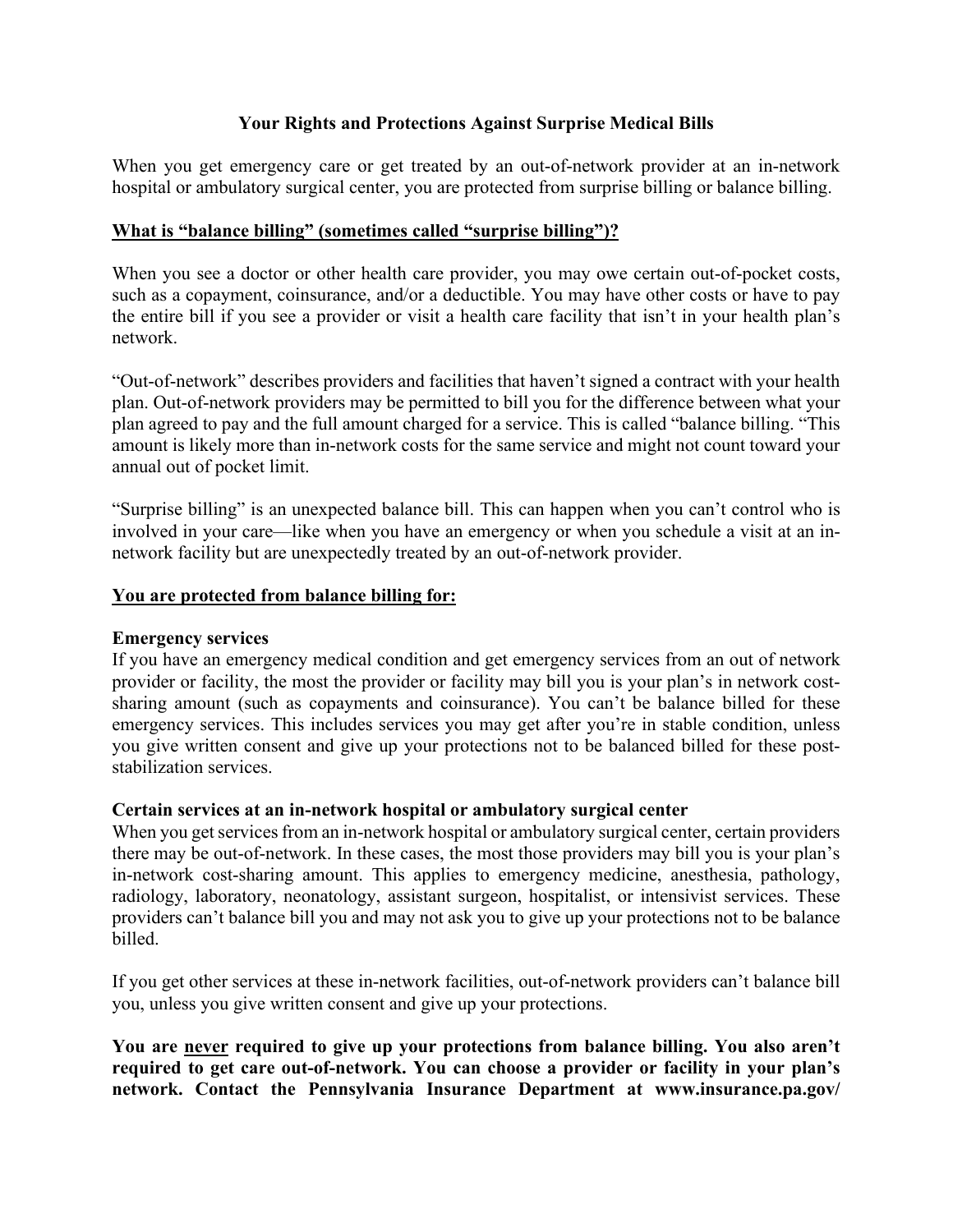## **Your Rights and Protections Against Surprise Medical Bills**

When you get emergency care or get treated by an out-of-network provider at an in-network hospital or ambulatory surgical center, you are protected from surprise billing or balance billing.

## **What is "balance billing" (sometimes called "surprise billing")?**

When you see a doctor or other health care provider, you may owe certain out-of-pocket costs, such as a copayment, coinsurance, and/or a deductible. You may have other costs or have to pay the entire bill if you see a provider or visit a health care facility that isn't in your health plan's network.

"Out-of-network" describes providers and facilities that haven't signed a contract with your health plan. Out-of-network providers may be permitted to bill you for the difference between what your plan agreed to pay and the full amount charged for a service. This is called "balance billing. "This amount is likely more than in-network costs for the same service and might not count toward your annual out of pocket limit.

"Surprise billing" is an unexpected balance bill. This can happen when you can't control who is involved in your care—like when you have an emergency or when you schedule a visit at an innetwork facility but are unexpectedly treated by an out-of-network provider.

#### **You are protected from balance billing for:**

#### **Emergency services**

If you have an emergency medical condition and get emergency services from an out of network provider or facility, the most the provider or facility may bill you is your plan's in network costsharing amount (such as copayments and coinsurance). You can't be balance billed for these emergency services. This includes services you may get after you're in stable condition, unless you give written consent and give up your protections not to be balanced billed for these poststabilization services.

#### **Certain services at an in-network hospital or ambulatory surgical center**

When you get services from an in-network hospital or ambulatory surgical center, certain providers there may be out-of-network. In these cases, the most those providers may bill you is your plan's in-network cost-sharing amount. This applies to emergency medicine, anesthesia, pathology, radiology, laboratory, neonatology, assistant surgeon, hospitalist, or intensivist services. These providers can't balance bill you and may not ask you to give up your protections not to be balance billed.

If you get other services at these in-network facilities, out-of-network providers can't balance bill you, unless you give written consent and give up your protections.

**You are never required to give up your protections from balance billing. You also aren't required to get care out-of-network. You can choose a provider or facility in your plan's network. Contact the Pennsylvania Insurance Department at www.insurance.pa.gov/**